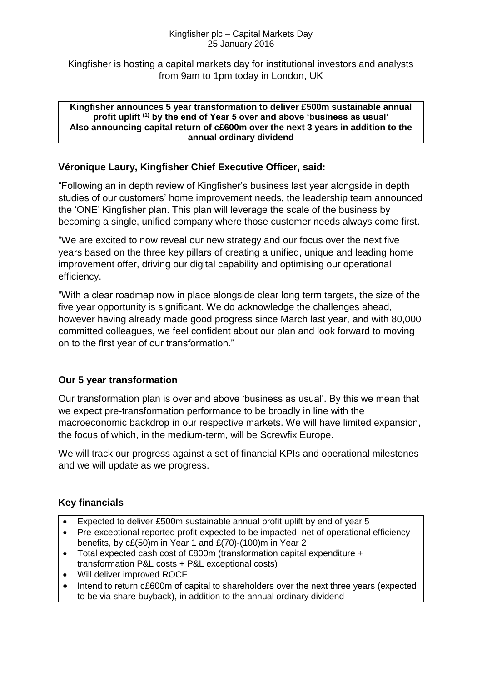#### Kingfisher plc – Capital Markets Day 25 January 2016

Kingfisher is hosting a capital markets day for institutional investors and analysts from 9am to 1pm today in London, UK

#### **Kingfisher announces 5 year transformation to deliver £500m sustainable annual profit uplift (1) by the end of Year 5 over and above 'business as usual' Also announcing capital return of c£600m over the next 3 years in addition to the annual ordinary dividend**

### **Véronique Laury, Kingfisher Chief Executive Officer, said:**

"Following an in depth review of Kingfisher's business last year alongside in depth studies of our customers' home improvement needs, the leadership team announced the 'ONE' Kingfisher plan. This plan will leverage the scale of the business by becoming a single, unified company where those customer needs always come first.

"We are excited to now reveal our new strategy and our focus over the next five years based on the three key pillars of creating a unified, unique and leading home improvement offer, driving our digital capability and optimising our operational efficiency.

"With a clear roadmap now in place alongside clear long term targets, the size of the five year opportunity is significant. We do acknowledge the challenges ahead, however having already made good progress since March last year, and with 80,000 committed colleagues, we feel confident about our plan and look forward to moving on to the first year of our transformation."

### **Our 5 year transformation**

Our transformation plan is over and above 'business as usual'. By this we mean that we expect pre-transformation performance to be broadly in line with the macroeconomic backdrop in our respective markets. We will have limited expansion, the focus of which, in the medium-term, will be Screwfix Europe.

We will track our progress against a set of financial KPIs and operational milestones and we will update as we progress.

## **Key financials**

- Expected to deliver £500m sustainable annual profit uplift by end of year 5
- Pre-exceptional reported profit expected to be impacted, net of operational efficiency benefits, by c£(50)m in Year 1 and £(70)-(100)m in Year 2
- Total expected cash cost of £800m (transformation capital expenditure + transformation P&L costs + P&L exceptional costs)
- Will deliver improved ROCE
- Intend to return c£600m of capital to shareholders over the next three years (expected to be via share buyback), in addition to the annual ordinary dividend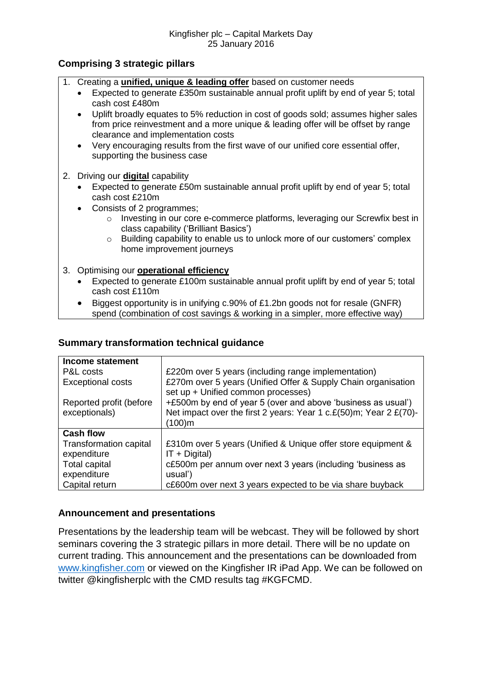### **Comprising 3 strategic pillars**

- 1. Creating a **unified, unique & leading offer** based on customer needs
	- Expected to generate £350m sustainable annual profit uplift by end of year 5; total cash cost £480m
	- Uplift broadly equates to 5% reduction in cost of goods sold; assumes higher sales from price reinvestment and a more unique & leading offer will be offset by range clearance and implementation costs
	- Very encouraging results from the first wave of our unified core essential offer, supporting the business case
- 2. Driving our **digital** capability
	- Expected to generate £50m sustainable annual profit uplift by end of year 5; total cash cost £210m
	- Consists of 2 programmes:
		- o Investing in our core e-commerce platforms, leveraging our Screwfix best in class capability ('Brilliant Basics')
		- $\circ$  Building capability to enable us to unlock more of our customers' complex home improvement journeys

#### 3. Optimising our **operational efficiency**

- Expected to generate £100m sustainable annual profit uplift by end of year 5; total cash cost £110m
- Biggest opportunity is in unifying c.90% of £1.2bn goods not for resale (GNFR) spend (combination of cost savings & working in a simpler, more effective way)

#### **Summary transformation technical guidance**

| Income statement                         |                                                                                                                                            |
|------------------------------------------|--------------------------------------------------------------------------------------------------------------------------------------------|
| P&L costs                                | £220m over 5 years (including range implementation)                                                                                        |
| <b>Exceptional costs</b>                 | £270m over 5 years (Unified Offer & Supply Chain organisation<br>set up + Unified common processes)                                        |
| Reported profit (before<br>exceptionals) | +£500m by end of year 5 (over and above 'business as usual')<br>Net impact over the first 2 years: Year 1 c.£(50)m; Year 2 £(70)-<br>100)m |
| <b>Cash flow</b>                         |                                                                                                                                            |
| Transformation capital<br>expenditure    | £310m over 5 years (Unified & Unique offer store equipment &<br>$IT + Digital)$                                                            |
| <b>Total capital</b><br>expenditure      | c£500m per annum over next 3 years (including 'business as<br>usual')                                                                      |
| Capital return                           | c£600m over next 3 years expected to be via share buyback                                                                                  |

### **Announcement and presentations**

Presentations by the leadership team will be webcast. They will be followed by short seminars covering the 3 strategic pillars in more detail. There will be no update on current trading. This announcement and the presentations can be downloaded from [www.kingfisher.com](http://www.kingfisher.com/) or viewed on the Kingfisher IR iPad App. We can be followed on twitter @kingfisherplc with the CMD results tag #KGFCMD.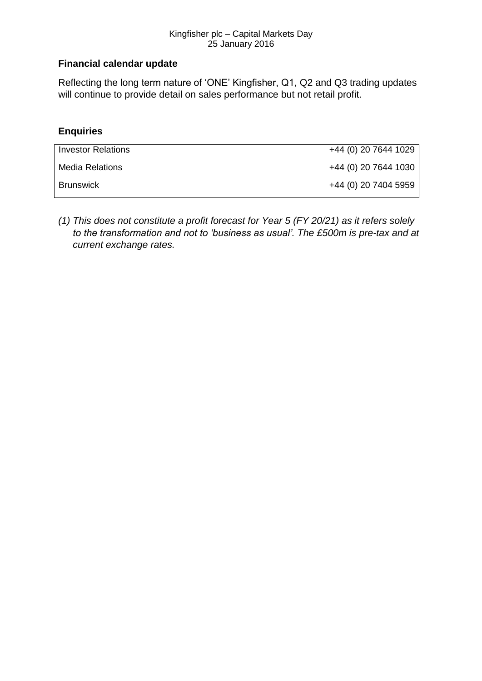#### Kingfisher plc – Capital Markets Day 25 January 2016

# **Financial calendar update**

Reflecting the long term nature of 'ONE' Kingfisher, Q1, Q2 and Q3 trading updates will continue to provide detail on sales performance but not retail profit.

# **Enquiries**

| <b>Investor Relations</b> | +44 (0) 20 7644 1029 |
|---------------------------|----------------------|
| Media Relations           | +44 (0) 20 7644 1030 |
| <b>Brunswick</b>          | +44 (0) 20 7404 5959 |

*(1) This does not constitute a profit forecast for Year 5 (FY 20/21) as it refers solely to the transformation and not to 'business as usual'. The £500m is pre-tax and at current exchange rates.*